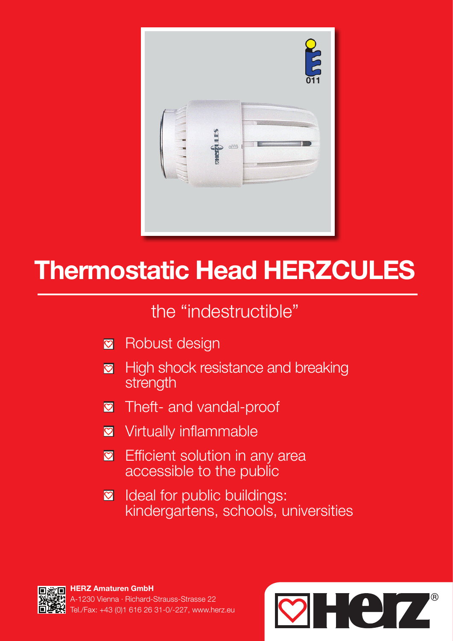

# Thermostatic Head HERZCULES

## the "indestructible"

- Robust design  $\overline{\mathcal{O}}$
- High shock resistance and breaking  $\boldsymbol{\nabla}$ strength
- Theft- and vandal-proof  $\overline{\heartsuit}$
- Virtually inflammable  $\overline{\mathbf{C}}$
- Efficient solution in any area  $\overline{\mathbf{z}}$ accessible to the public
- Ideal for public buildings:  $\heartsuit$ kindergartens, schools, universities